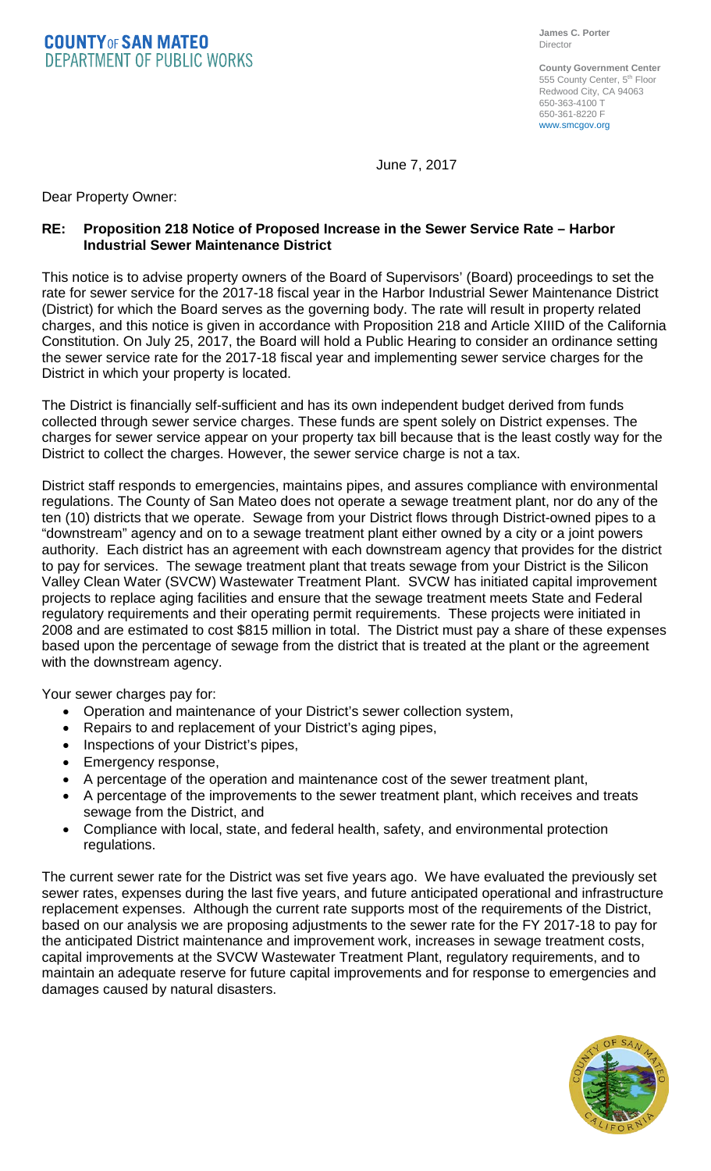**COUNTYOF SAN MATEO DEPARTMENT OF PUBLIC WORKS** 

**County Government Center** 555 County Center, 5<sup>th</sup> Floor Redwood City, CA 94063 650-363-4100 T 650-361-8220 F www.smcgov.org

June 7, 2017

Dear Property Owner:

## **RE: Proposition 218 Notice of Proposed Increase in the Sewer Service Rate – Harbor Industrial Sewer Maintenance District**

This notice is to advise property owners of the Board of Supervisors' (Board) proceedings to set the rate for sewer service for the 2017-18 fiscal year in the Harbor Industrial Sewer Maintenance District (District) for which the Board serves as the governing body. The rate will result in property related charges, and this notice is given in accordance with Proposition 218 and Article XIIID of the California Constitution. On July 25, 2017, the Board will hold a Public Hearing to consider an ordinance setting the sewer service rate for the 2017-18 fiscal year and implementing sewer service charges for the District in which your property is located.

The District is financially self-sufficient and has its own independent budget derived from funds collected through sewer service charges. These funds are spent solely on District expenses. The charges for sewer service appear on your property tax bill because that is the least costly way for the District to collect the charges. However, the sewer service charge is not a tax.

District staff responds to emergencies, maintains pipes, and assures compliance with environmental regulations. The County of San Mateo does not operate a sewage treatment plant, nor do any of the ten (10) districts that we operate. Sewage from your District flows through District-owned pipes to a "downstream" agency and on to a sewage treatment plant either owned by a city or a joint powers authority. Each district has an agreement with each downstream agency that provides for the district to pay for services. The sewage treatment plant that treats sewage from your District is the Silicon Valley Clean Water (SVCW) Wastewater Treatment Plant. SVCW has initiated capital improvement projects to replace aging facilities and ensure that the sewage treatment meets State and Federal regulatory requirements and their operating permit requirements. These projects were initiated in 2008 and are estimated to cost \$815 million in total. The District must pay a share of these expenses based upon the percentage of sewage from the district that is treated at the plant or the agreement with the downstream agency.

Your sewer charges pay for:

- Operation and maintenance of your District's sewer collection system,
- Repairs to and replacement of your District's aging pipes,
- Inspections of your District's pipes,
- Emergency response,
- A percentage of the operation and maintenance cost of the sewer treatment plant,
- A percentage of the improvements to the sewer treatment plant, which receives and treats sewage from the District, and
- Compliance with local, state, and federal health, safety, and environmental protection regulations.

The current sewer rate for the District was set five years ago. We have evaluated the previously set sewer rates, expenses during the last five years, and future anticipated operational and infrastructure replacement expenses. Although the current rate supports most of the requirements of the District, based on our analysis we are proposing adjustments to the sewer rate for the FY 2017-18 to pay for the anticipated District maintenance and improvement work, increases in sewage treatment costs, capital improvements at the SVCW Wastewater Treatment Plant, regulatory requirements, and to maintain an adequate reserve for future capital improvements and for response to emergencies and damages caused by natural disasters.